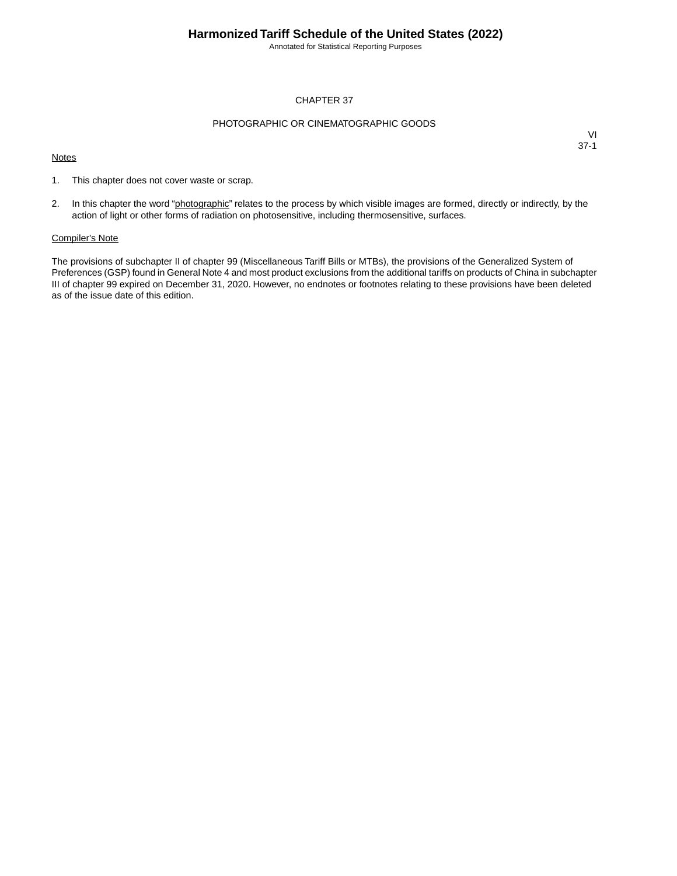Annotated for Statistical Reporting Purposes

### CHAPTER 37

### PHOTOGRAPHIC OR CINEMATOGRAPHIC GOODS

#### **Notes**

VI 37-1

- 1. This chapter does not cover waste or scrap.
- 2. In this chapter the word "photographic" relates to the process by which visible images are formed, directly or indirectly, by the action of light or other forms of radiation on photosensitive, including thermosensitive, surfaces.

### Compiler's Note

The provisions of subchapter II of chapter 99 (Miscellaneous Tariff Bills or MTBs), the provisions of the Generalized System of Preferences (GSP) found in General Note 4 and most product exclusions from the additional tariffs on products of China in subchapter III of chapter 99 expired on December 31, 2020. However, no endnotes or footnotes relating to these provisions have been deleted as of the issue date of this edition.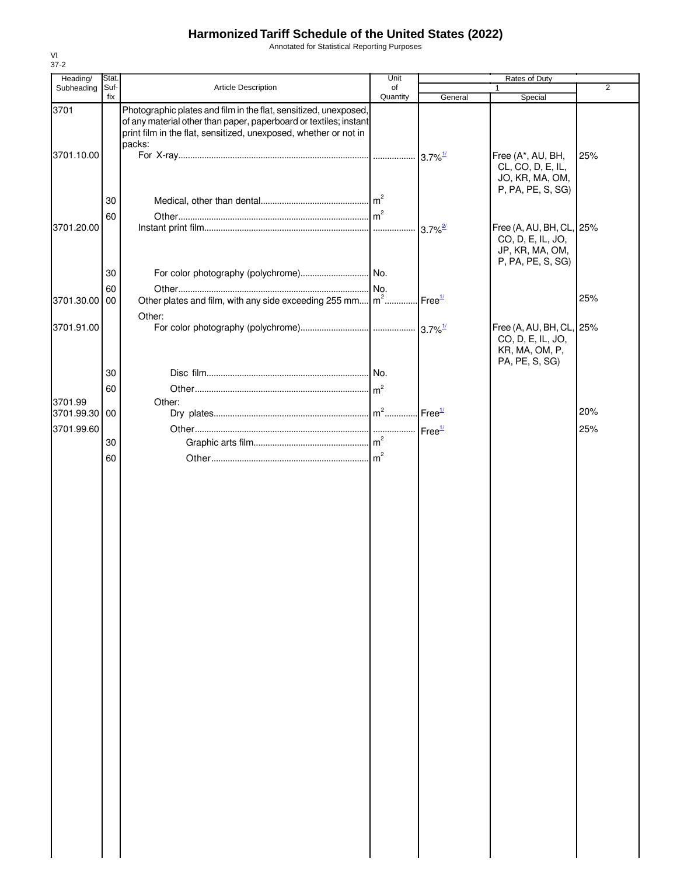Annotated for Statistical Reporting Purposes

| Heading/                 | Stat.       |                                                                                                                                                                                                                     | Unit           | Rates of Duty         |                                                                                       |                |  |
|--------------------------|-------------|---------------------------------------------------------------------------------------------------------------------------------------------------------------------------------------------------------------------|----------------|-----------------------|---------------------------------------------------------------------------------------|----------------|--|
| Subheading               | Suf-<br>fix | Article Description                                                                                                                                                                                                 | of<br>Quantity | General               | $\mathbf{1}$<br>Special                                                               | $\overline{2}$ |  |
| 3701                     |             | Photographic plates and film in the flat, sensitized, unexposed,<br>of any material other than paper, paperboard or textiles; instant<br>print film in the flat, sensitized, unexposed, whether or not in<br>packs: |                |                       |                                                                                       |                |  |
| 3701.10.00               |             |                                                                                                                                                                                                                     |                |                       | Free (A*, AU, BH,<br>CL, CO, D, E, IL,<br>JO, KR, MA, OM,                             | 25%            |  |
|                          | 30          |                                                                                                                                                                                                                     |                |                       | P, PA, PE, S, SG)                                                                     |                |  |
| 3701.20.00               | 60          |                                                                                                                                                                                                                     |                | $3.7\%$ <sup>2/</sup> | Free (A, AU, BH, CL, 25%<br>CO, D, E, IL, JO,<br>JP, KR, MA, OM,<br>P, PA, PE, S, SG) |                |  |
|                          | 30          |                                                                                                                                                                                                                     |                |                       |                                                                                       |                |  |
| 3701.30.00               | 60<br>00    | Other plates and film, with any side exceeding 255 mm $\left  m^2 \dots m^2 \right $ Free <sup>1/</sup>                                                                                                             |                |                       |                                                                                       | 25%            |  |
|                          |             | Other:                                                                                                                                                                                                              |                |                       |                                                                                       |                |  |
| 3701.91.00               |             |                                                                                                                                                                                                                     |                |                       | Free (A, AU, BH, CL, 25%<br>CO, D, E, IL, JO,<br>KR, MA, OM, P,<br>PA, PE, S, SG)     |                |  |
|                          | 30          |                                                                                                                                                                                                                     |                |                       |                                                                                       |                |  |
|                          | 60          |                                                                                                                                                                                                                     |                |                       |                                                                                       |                |  |
| 3701.99<br>3701.99.30 00 |             | Other:                                                                                                                                                                                                              |                |                       |                                                                                       | 20%            |  |
| 3701.99.60               |             |                                                                                                                                                                                                                     |                |                       |                                                                                       | 25%            |  |
|                          | 30          |                                                                                                                                                                                                                     |                |                       |                                                                                       |                |  |
|                          | 60          |                                                                                                                                                                                                                     |                |                       |                                                                                       |                |  |
|                          |             |                                                                                                                                                                                                                     |                |                       |                                                                                       |                |  |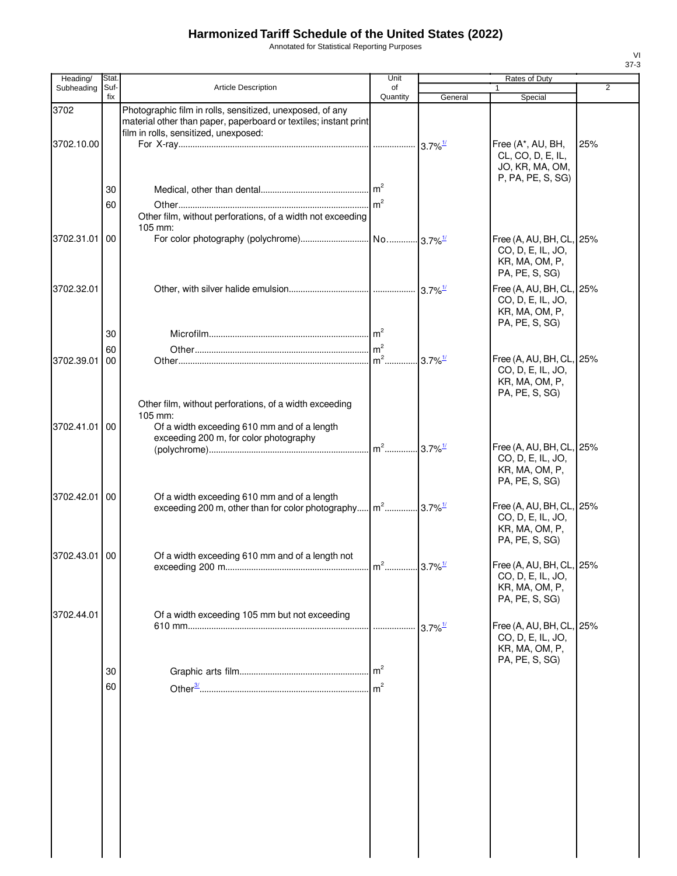Annotated for Statistical Reporting Purposes

| Heading/      | Stat.       |                                                                                                                                                                        | Unit                              |                       | Rates of Duty                                                                     |                |
|---------------|-------------|------------------------------------------------------------------------------------------------------------------------------------------------------------------------|-----------------------------------|-----------------------|-----------------------------------------------------------------------------------|----------------|
| Subheading    | Suf-<br>fix | Article Description                                                                                                                                                    | of<br>Quantity                    | General               | 1<br>Special                                                                      | $\overline{2}$ |
| 3702          |             | Photographic film in rolls, sensitized, unexposed, of any<br>material other than paper, paperboard or textiles; instant print<br>film in rolls, sensitized, unexposed: |                                   |                       |                                                                                   |                |
| 3702.10.00    |             |                                                                                                                                                                        |                                   |                       | Free (A*, AU, BH,<br>CL, CO, D, E, IL,<br>JO, KR, MA, OM,<br>P, PA, PE, S, SG)    | 25%            |
|               | 30<br>60    |                                                                                                                                                                        | m <sup>2</sup>                    |                       |                                                                                   |                |
|               |             | Other film, without perforations, of a width not exceeding<br>105 mm:                                                                                                  |                                   |                       |                                                                                   |                |
| 3702.31.01    | 00          |                                                                                                                                                                        |                                   |                       | Free (A, AU, BH, CL, 25%<br>CO, D, E, IL, JO,<br>KR, MA, OM, P,<br>PA, PE, S, SG) |                |
| 3702.32.01    |             |                                                                                                                                                                        |                                   |                       | Free (A, AU, BH, CL, 25%<br>CO, D, E, IL, JO,<br>KR, MA, OM, P,<br>PA, PE, S, SG) |                |
|               | 30          |                                                                                                                                                                        |                                   |                       |                                                                                   |                |
|               | 60          |                                                                                                                                                                        | m <sup>2</sup>                    |                       |                                                                                   |                |
| 3702.39.01    | 00          |                                                                                                                                                                        | m <sup>2</sup> 3.7% <sup>1/</sup> |                       | Free (A, AU, BH, CL, 25%<br>CO, D, E, IL, JO,<br>KR, MA, OM, P,<br>PA, PE, S, SG) |                |
| 3702.41.01 00 |             | Other film, without perforations, of a width exceeding<br>105 mm:<br>Of a width exceeding 610 mm and of a length<br>exceeding 200 m, for color photography             |                                   |                       |                                                                                   |                |
|               |             |                                                                                                                                                                        | m <sup>2</sup> 3.7% <sup>1/</sup> |                       | Free (A, AU, BH, CL, 25%<br>CO, D, E, IL, JO,<br>KR, MA, OM, P,<br>PA, PE, S, SG) |                |
| 3702.42.01    | 00          | Of a width exceeding 610 mm and of a length<br>exceeding 200 m, other than for color photography m <sup>2</sup> 3.7% <sup>1/</sup>                                     |                                   |                       | Free (A, AU, BH, CL, 25%<br>CO, D, E, IL, JO,<br>KR, MA, OM, P,<br>PA, PE, S, SG) |                |
| 3702.43.01 00 |             | Of a width exceeding 610 mm and of a length not                                                                                                                        |                                   |                       | Free (A, AU, BH, CL, 25%<br>CO, D, E, IL, JO,<br>KR, MA, OM, P,                   |                |
| 3702.44.01    |             | Of a width exceeding 105 mm but not exceeding                                                                                                                          |                                   | $3.7\%$ <sup>1/</sup> | PA, PE, S, SG)<br>Free (A, AU, BH, CL, 25%                                        |                |
|               |             |                                                                                                                                                                        |                                   |                       | CO, D, E, IL, JO,<br>KR, MA, OM, P,<br>PA, PE, S, SG)                             |                |
|               | 30<br>60    |                                                                                                                                                                        | m <sup>2</sup>                    |                       |                                                                                   |                |
|               |             |                                                                                                                                                                        |                                   |                       |                                                                                   |                |
|               |             |                                                                                                                                                                        |                                   |                       |                                                                                   |                |
|               |             |                                                                                                                                                                        |                                   |                       |                                                                                   |                |
|               |             |                                                                                                                                                                        |                                   |                       |                                                                                   |                |
|               |             |                                                                                                                                                                        |                                   |                       |                                                                                   |                |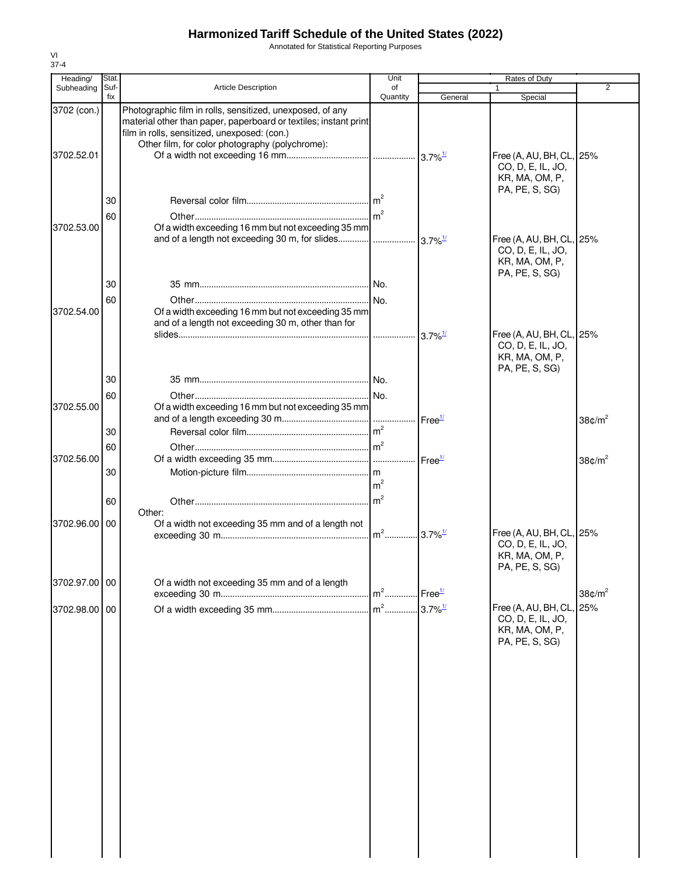Annotated for Statistical Reporting Purposes

| Heading/      | Stat |                                                                                                                                                                     | Unit           |                       | Rates of Duty                                                                     |                    |
|---------------|------|---------------------------------------------------------------------------------------------------------------------------------------------------------------------|----------------|-----------------------|-----------------------------------------------------------------------------------|--------------------|
| Subheading    | Suf- | <b>Article Description</b>                                                                                                                                          | of             |                       | 1                                                                                 | $\overline{2}$     |
| 3702 (con.)   | fix  | Photographic film in rolls, sensitized, unexposed, of any                                                                                                           | Quantity       | General               | Special                                                                           |                    |
| 3702.52.01    |      | material other than paper, paperboard or textiles; instant print<br>film in rolls, sensitized, unexposed: (con.)<br>Other film, for color photography (polychrome): |                |                       | Free (A, AU, BH, CL, 25%<br>CO, D, E, IL, JO,<br>KR, MA, OM, P,                   |                    |
|               | 30   |                                                                                                                                                                     |                |                       | PA, PE, S, SG)                                                                    |                    |
|               | 60   |                                                                                                                                                                     |                |                       |                                                                                   |                    |
| 3702.53.00    |      | Of a width exceeding 16 mm but not exceeding 35 mm                                                                                                                  |                |                       | Free (A, AU, BH, CL, 25%<br>CO, D, E, IL, JO,<br>KR, MA, OM, P,                   |                    |
|               | 30   |                                                                                                                                                                     |                |                       | PA, PE, S, SG)                                                                    |                    |
| 3702.54.00    | 60   | Of a width exceeding 16 mm but not exceeding 35 mm<br>and of a length not exceeding 30 m, other than for                                                            |                |                       |                                                                                   |                    |
|               |      |                                                                                                                                                                     |                | $3.7\%$ <sup>1/</sup> | Free (A, AU, BH, CL, 25%<br>CO, D, E, IL, JO,<br>KR, MA, OM, P,<br>PA, PE, S, SG) |                    |
|               | 30   |                                                                                                                                                                     |                |                       |                                                                                   |                    |
| 3702.55.00    | 60   | Of a width exceeding 16 mm but not exceeding 35 mm                                                                                                                  |                |                       |                                                                                   |                    |
|               | 30   |                                                                                                                                                                     |                |                       |                                                                                   | 38 $\text{C/m}^2$  |
| 3702.56.00    | 60   |                                                                                                                                                                     |                |                       |                                                                                   |                    |
|               | 30   |                                                                                                                                                                     | m <sup>2</sup> |                       |                                                                                   | 38 $\text{C/m}^2$  |
|               | 60   |                                                                                                                                                                     |                |                       |                                                                                   |                    |
| 3702.96.00    | 00   | Other:<br>Of a width not exceeding 35 mm and of a length not                                                                                                        |                |                       | Free (A, AU, BH, CL, 25%                                                          |                    |
|               |      |                                                                                                                                                                     |                |                       | CO, D, E, IL, JO,<br>KR, MA, OM, P,<br>PA, PE, S, SG)                             |                    |
| 3702.97.00 00 |      | Of a width not exceeding 35 mm and of a length                                                                                                                      | $m2$           | Free <sup>1/</sup>    |                                                                                   | 38¢/m <sup>2</sup> |
| 3702.98.00 00 |      |                                                                                                                                                                     | $m2$           | $3.7\%$ <sup>1/</sup> | Free (A, AU, BH, CL, 25%<br>CO, D, E, IL, JO,<br>KR, MA, OM, P,<br>PA, PE, S, SG) |                    |
|               |      |                                                                                                                                                                     |                |                       |                                                                                   |                    |
|               |      |                                                                                                                                                                     |                |                       |                                                                                   |                    |
|               |      |                                                                                                                                                                     |                |                       |                                                                                   |                    |
|               |      |                                                                                                                                                                     |                |                       |                                                                                   |                    |
|               |      |                                                                                                                                                                     |                |                       |                                                                                   |                    |
|               |      |                                                                                                                                                                     |                |                       |                                                                                   |                    |
|               |      |                                                                                                                                                                     |                |                       |                                                                                   |                    |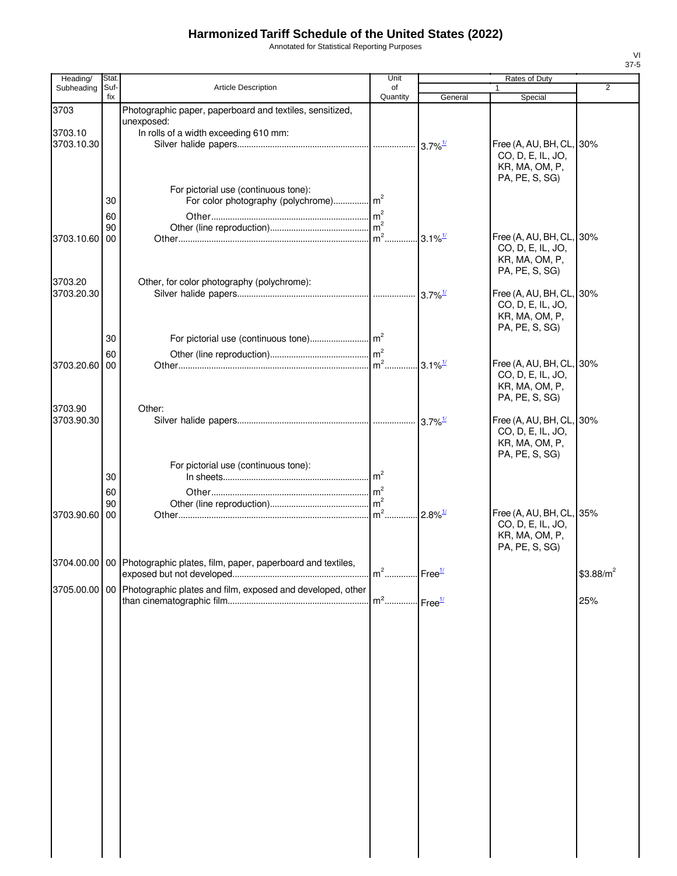Annotated for Statistical Reporting Purposes

| Heading/              | Stat.       |                                                                              | Unit                     |                       | Rates of Duty                                 |                |
|-----------------------|-------------|------------------------------------------------------------------------------|--------------------------|-----------------------|-----------------------------------------------|----------------|
| Subheading            | Suf-<br>fix | Article Description                                                          | of<br>Quantity           | General               | $\mathbf{1}$<br>Special                       | $\overline{2}$ |
| 3703                  |             | Photographic paper, paperboard and textiles, sensitized,                     |                          |                       |                                               |                |
|                       |             | unexposed:                                                                   |                          |                       |                                               |                |
| 3703.10<br>3703.10.30 |             | In rolls of a width exceeding 610 mm:                                        |                          |                       |                                               |                |
|                       |             |                                                                              |                          |                       | Free (A, AU, BH, CL, 30%<br>CO, D, E, IL, JO, |                |
|                       |             |                                                                              |                          |                       | KR, MA, OM, P,                                |                |
|                       |             |                                                                              |                          |                       | PA, PE, S, SG)                                |                |
|                       | 30          | For pictorial use (continuous tone):                                         |                          |                       |                                               |                |
|                       |             |                                                                              |                          |                       |                                               |                |
|                       | 60<br>90    |                                                                              |                          |                       |                                               |                |
| 3703.10.60 00         |             |                                                                              |                          |                       | Free (A, AU, BH, CL, 30%                      |                |
|                       |             |                                                                              |                          |                       | CO, D, E, IL, JO,                             |                |
|                       |             |                                                                              |                          |                       | KR, MA, OM, P,<br>PA, PE, S, SG)              |                |
| 3703.20               |             | Other, for color photography (polychrome):                                   |                          |                       |                                               |                |
| 3703.20.30            |             |                                                                              |                          |                       | Free (A, AU, BH, CL, 30%                      |                |
|                       |             |                                                                              |                          |                       | CO, D, E, IL, JO,<br>KR, MA, OM, P,           |                |
|                       |             |                                                                              |                          |                       | PA, PE, S, SG)                                |                |
|                       | 30          |                                                                              |                          |                       |                                               |                |
|                       | 60          |                                                                              |                          |                       |                                               |                |
| 3703.20.60 00         |             |                                                                              |                          |                       | Free (A, AU, BH, CL, 30%                      |                |
|                       |             |                                                                              |                          |                       | CO, D, E, IL, JO,<br>KR, MA, OM, P,           |                |
|                       |             |                                                                              |                          |                       | PA, PE, S, SG)                                |                |
| 3703.90               |             | Other:                                                                       |                          |                       |                                               |                |
| 3703.90.30            |             |                                                                              |                          |                       | Free (A, AU, BH, CL, 30%                      |                |
|                       |             |                                                                              |                          |                       | CO, D, E, IL, JO,<br>KR, MA, OM, P,           |                |
|                       |             |                                                                              |                          |                       | PA, PE, S, SG)                                |                |
|                       |             | For pictorial use (continuous tone):                                         |                          |                       |                                               |                |
|                       | 30          |                                                                              |                          |                       |                                               |                |
|                       | 60          |                                                                              |                          |                       |                                               |                |
| 3703.90.60 00         | 90          |                                                                              |                          | $2.8\%$ <sup>1/</sup> | Free (A, AU, BH, CL, 35%                      |                |
|                       |             |                                                                              |                          |                       | CO, D, E, IL, JO,                             |                |
|                       |             |                                                                              |                          |                       | KR, MA, OM, P,                                |                |
|                       |             |                                                                              |                          |                       | PA, PE, S, SG)                                |                |
|                       |             | 3704.00.00   00   Photographic plates, film, paper, paperboard and textiles, |                          |                       |                                               | $$3.88/m^2$    |
|                       |             | 3705.00.00   00 Photographic plates and film, exposed and developed, other   |                          |                       |                                               |                |
|                       |             |                                                                              | $m^2$ Free $\frac{1}{2}$ |                       |                                               | 25%            |
|                       |             |                                                                              |                          |                       |                                               |                |
|                       |             |                                                                              |                          |                       |                                               |                |
|                       |             |                                                                              |                          |                       |                                               |                |
|                       |             |                                                                              |                          |                       |                                               |                |
|                       |             |                                                                              |                          |                       |                                               |                |
|                       |             |                                                                              |                          |                       |                                               |                |
|                       |             |                                                                              |                          |                       |                                               |                |
|                       |             |                                                                              |                          |                       |                                               |                |
|                       |             |                                                                              |                          |                       |                                               |                |
|                       |             |                                                                              |                          |                       |                                               |                |
|                       |             |                                                                              |                          |                       |                                               |                |
|                       |             |                                                                              |                          |                       |                                               |                |
|                       |             |                                                                              |                          |                       |                                               |                |
|                       |             |                                                                              |                          |                       |                                               |                |
|                       |             |                                                                              |                          |                       |                                               |                |
|                       |             |                                                                              |                          |                       |                                               |                |
|                       |             |                                                                              |                          |                       |                                               |                |
|                       |             |                                                                              |                          |                       |                                               |                |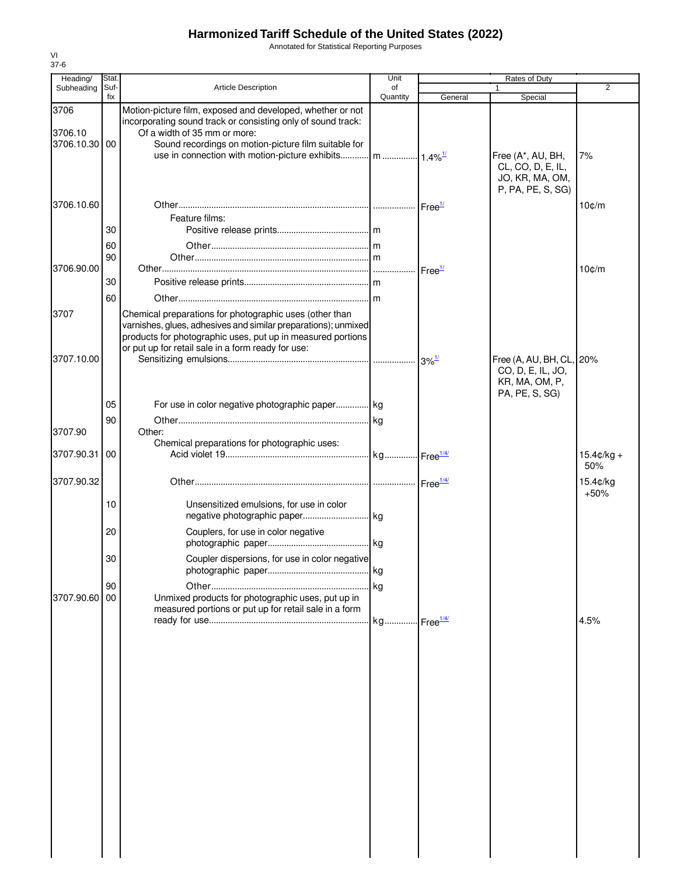Annotated for Statistical Reporting Purposes

| Heading/        | Stat.       |                                                                                                                                                                                                                                                | Unit           | Rates of Duty              |                                                                                |                     |
|-----------------|-------------|------------------------------------------------------------------------------------------------------------------------------------------------------------------------------------------------------------------------------------------------|----------------|----------------------------|--------------------------------------------------------------------------------|---------------------|
| Subheading      | Suf-<br>fix | Article Description                                                                                                                                                                                                                            | of<br>Quantity | General                    | Special                                                                        | $\overline{2}$      |
| 3706<br>3706.10 |             | Motion-picture film, exposed and developed, whether or not<br>incorporating sound track or consisting only of sound track:<br>Of a width of 35 mm or more:                                                                                     |                |                            |                                                                                |                     |
| 3706.10.30 00   |             | Sound recordings on motion-picture film suitable for                                                                                                                                                                                           |                |                            | Free (A*, AU, BH,<br>CL, CO, D, E, IL,<br>JO, KR, MA, OM,<br>P, PA, PE, S, SG) | 7%                  |
| 3706.10.60      |             | Feature films:                                                                                                                                                                                                                                 |                | Free <sup>1/</sup>         |                                                                                | 10¢/m               |
|                 | 30          |                                                                                                                                                                                                                                                |                |                            |                                                                                |                     |
|                 | 60          |                                                                                                                                                                                                                                                |                |                            |                                                                                |                     |
|                 | 90          |                                                                                                                                                                                                                                                |                |                            |                                                                                |                     |
| 3706.90.00      | 30          |                                                                                                                                                                                                                                                |                | Free <sup>1/</sup>         |                                                                                | $10$ $c/m$          |
|                 | 60          |                                                                                                                                                                                                                                                |                |                            |                                                                                |                     |
| 3707            |             | Chemical preparations for photographic uses (other than<br>varnishes, glues, adhesives and similar preparations); unmixed<br>products for photographic uses, put up in measured portions<br>or put up for retail sale in a form ready for use: |                |                            |                                                                                |                     |
| 3707.10.00      |             |                                                                                                                                                                                                                                                |                | $3\%$ <sup>1/</sup>        | Free (A, AU, BH, CL, 20%<br>CO, D, E, IL, JO,<br>KR, MA, OM, P,                |                     |
|                 | 05          | For use in color negative photographic paper kg                                                                                                                                                                                                |                |                            | PA, PE, S, SG)                                                                 |                     |
|                 | 90          |                                                                                                                                                                                                                                                |                |                            |                                                                                |                     |
| 3707.90         |             | Other:                                                                                                                                                                                                                                         |                |                            |                                                                                |                     |
| 3707.90.31      | 00          | Chemical preparations for photographic uses:                                                                                                                                                                                                   |                |                            |                                                                                | $15.4¢/kg +$<br>50% |
| 3707.90.32      |             |                                                                                                                                                                                                                                                |                |                            |                                                                                | 15.4¢/kg            |
|                 | 10          | Unsensitized emulsions, for use in color                                                                                                                                                                                                       |                |                            |                                                                                | $+50%$              |
|                 | 20          | Couplers, for use in color negative                                                                                                                                                                                                            |                |                            |                                                                                |                     |
|                 | 30          | Coupler dispersions, for use in color negative                                                                                                                                                                                                 |                |                            |                                                                                |                     |
|                 | 90          |                                                                                                                                                                                                                                                |                |                            |                                                                                |                     |
| 3707.90.60      | 00          | Unmixed products for photographic uses, put up in<br>measured portions or put up for retail sale in a form                                                                                                                                     |                |                            |                                                                                |                     |
|                 |             |                                                                                                                                                                                                                                                |                | $\cdot$ Free $\frac{1}{4}$ |                                                                                | 4.5%                |
|                 |             |                                                                                                                                                                                                                                                |                |                            |                                                                                |                     |
|                 |             |                                                                                                                                                                                                                                                |                |                            |                                                                                |                     |
|                 |             |                                                                                                                                                                                                                                                |                |                            |                                                                                |                     |
|                 |             |                                                                                                                                                                                                                                                |                |                            |                                                                                |                     |
|                 |             |                                                                                                                                                                                                                                                |                |                            |                                                                                |                     |
|                 |             |                                                                                                                                                                                                                                                |                |                            |                                                                                |                     |
|                 |             |                                                                                                                                                                                                                                                |                |                            |                                                                                |                     |
|                 |             |                                                                                                                                                                                                                                                |                |                            |                                                                                |                     |
|                 |             |                                                                                                                                                                                                                                                |                |                            |                                                                                |                     |